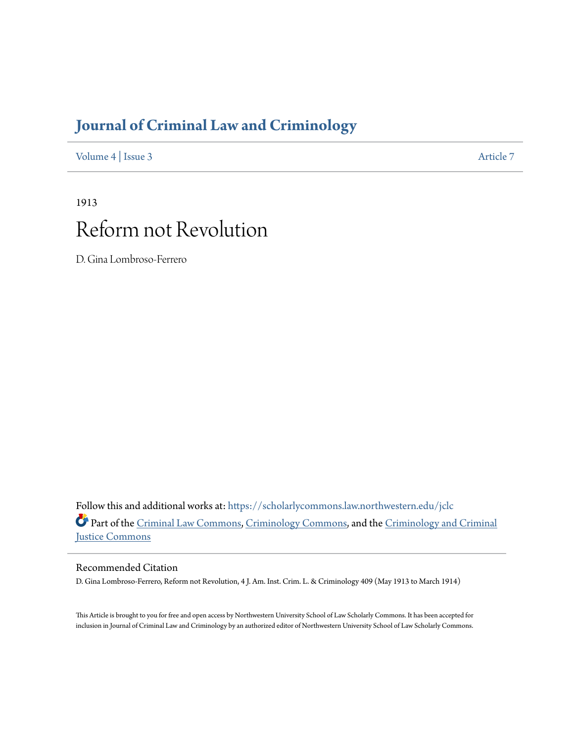## **[Journal of Criminal Law and Criminology](https://scholarlycommons.law.northwestern.edu/jclc?utm_source=scholarlycommons.law.northwestern.edu%2Fjclc%2Fvol4%2Fiss3%2F7&utm_medium=PDF&utm_campaign=PDFCoverPages)**

[Volume 4](https://scholarlycommons.law.northwestern.edu/jclc/vol4?utm_source=scholarlycommons.law.northwestern.edu%2Fjclc%2Fvol4%2Fiss3%2F7&utm_medium=PDF&utm_campaign=PDFCoverPages) | [Issue 3](https://scholarlycommons.law.northwestern.edu/jclc/vol4/iss3?utm_source=scholarlycommons.law.northwestern.edu%2Fjclc%2Fvol4%2Fiss3%2F7&utm_medium=PDF&utm_campaign=PDFCoverPages) [Article 7](https://scholarlycommons.law.northwestern.edu/jclc/vol4/iss3/7?utm_source=scholarlycommons.law.northwestern.edu%2Fjclc%2Fvol4%2Fiss3%2F7&utm_medium=PDF&utm_campaign=PDFCoverPages)

### 1913

# Reform not Revolution

D. Gina Lombroso-Ferrero

Follow this and additional works at: [https://scholarlycommons.law.northwestern.edu/jclc](https://scholarlycommons.law.northwestern.edu/jclc?utm_source=scholarlycommons.law.northwestern.edu%2Fjclc%2Fvol4%2Fiss3%2F7&utm_medium=PDF&utm_campaign=PDFCoverPages) Part of the [Criminal Law Commons](http://network.bepress.com/hgg/discipline/912?utm_source=scholarlycommons.law.northwestern.edu%2Fjclc%2Fvol4%2Fiss3%2F7&utm_medium=PDF&utm_campaign=PDFCoverPages), [Criminology Commons](http://network.bepress.com/hgg/discipline/417?utm_source=scholarlycommons.law.northwestern.edu%2Fjclc%2Fvol4%2Fiss3%2F7&utm_medium=PDF&utm_campaign=PDFCoverPages), and the [Criminology and Criminal](http://network.bepress.com/hgg/discipline/367?utm_source=scholarlycommons.law.northwestern.edu%2Fjclc%2Fvol4%2Fiss3%2F7&utm_medium=PDF&utm_campaign=PDFCoverPages) [Justice Commons](http://network.bepress.com/hgg/discipline/367?utm_source=scholarlycommons.law.northwestern.edu%2Fjclc%2Fvol4%2Fiss3%2F7&utm_medium=PDF&utm_campaign=PDFCoverPages)

#### Recommended Citation

D. Gina Lombroso-Ferrero, Reform not Revolution, 4 J. Am. Inst. Crim. L. & Criminology 409 (May 1913 to March 1914)

This Article is brought to you for free and open access by Northwestern University School of Law Scholarly Commons. It has been accepted for inclusion in Journal of Criminal Law and Criminology by an authorized editor of Northwestern University School of Law Scholarly Commons.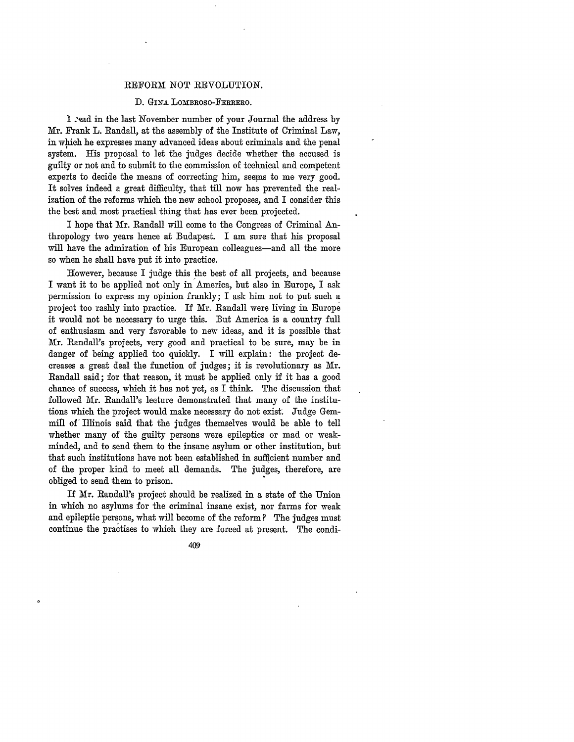#### REFORM NOT REVOLUTION.

#### D. GINA LOMBROSO-FERRERO.

I read in the last November number of your Journal the address by Mr. Frank L. Randall, at the assembly of the Institute of Criminal Law, in which he expresses many advanced ideas about criminals and the penal system. His proposal to let the judges decide whether the accused is guilty or not and to submit to the commission of technical and competent experts to decide the means of correcting him, seems to me very good. It solves indeed a great difficulty, that till now has prevented the realization of the reforms which the new school proposes, and I consider this the best and most practical thing that has ever been projected.

I hope that Mr. Randall will come to the Congress of Criminal Anthropology two years hence at Budapest. I am sure that his proposal will have the admiration of his European colleagues-and all the more so when he shall have put it into practice.

However, because I judge this the best of all projects, and because I want it to be applied not only in America, but also in Europe, I ask permission to express my opinion frankly; I ask him not to put such a project too rashly into practice. If Mr. Randall were living in Europe it would not be necessary to urge this. But America is a country full of enthusiasm and very favorable to new ideas, and it is possible that Mr. Randall's projects, very good and practical to be sure, may be in danger of being applied too quickly. I will explain: the project decreases a great deal the function of judges; it is revolutionary as Mr. Randall said; for that reason, it must be applied only if it has a good chance of success, which it has not yet, as I think. The discussion that followed Mr. Randall's lecture demonstrated that many of the institutions which the project would make necessary do not exist. Judge Gemmill of Illinois said that the judges themselves would be able to tell whether many of the guilty persons were epileptics or mad or weakminded, and to send them to the insane asylum or other institution, but that such institutions have not been established in sufficient number and of the proper kind to meet all demands. The judges, therefore, are obliged to send them to prison.

If Mr. Randall's project should be realized in a state of the Union in which no asylums for the criminal insane exist, nor farms for weak and epileptic persons, what will become of the reform? The judges must continue the practises to which they are forced at present. The condi-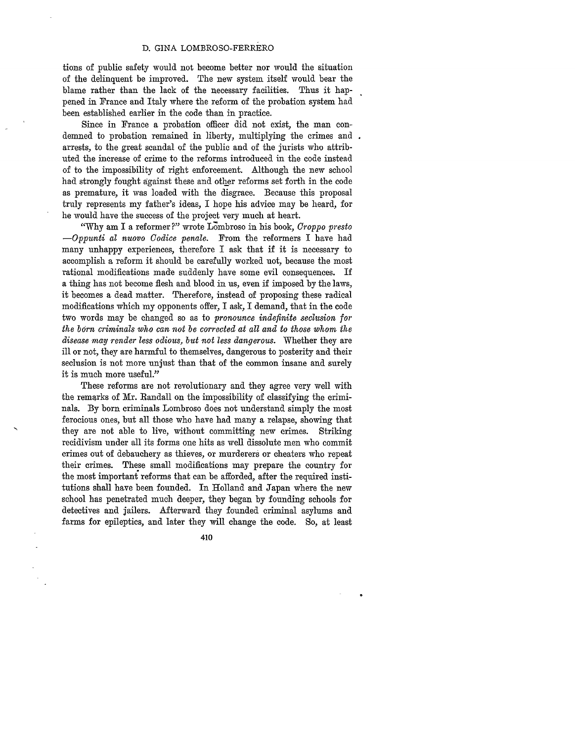#### D. GINA LOMBROSO-FERRERO

tions of public safety would not become better nor would the situation of the delinquent be improved. The new system itself would bear the blame rather than the lack of the necessary facilities. Thus it happened in France and Italy where the reform of the probation system had been established earlier in the code than in practice.

Since in France a probation officer did not exist, the man condemned to probation remained in liberty, multiplying the crimes and. arrests, to the great scandal of the public and of the jurists who attributed the increase of crime to the reforms introduced in the code instead of to the impossibility of right enforcement. Although the new school had strongly fought against these and other reforms set forth in the code as premature, it was loaded with the disgrace. Because this proposal truly represents my father's ideas, I hope his advice may be heard, for he would have the success of the project very much at heart.

"Why am I a reformer?" wrote Lombroso in his book, *Croppo presto -Oppunti al nuovo Codice penale.* From the reformers I have had many unhappy experiences, therefore I ask that if it is necessary to accomplish a reform it should be carefully worked not, because the most rational modifications made suddenly have some evil consequences. If a thing has not become flesh and blood in us, even if imposed by the laws, it becomes a dead matter. Therefore, instead of proposing these radical modifications which my opponents offer, I ask, I demand, that in the code two words may be changed so as to *pronounce indefinite seclusion for the born criminals who can* not *be corrected at all and to those whom the disease may render less odious, but not less dangerous.* Whether they are ill or not, they are harmful to themselves, dangerous to posterity and their seclusion is not more unjust than that of the common insane and surely it is much more useful."

These reforms are not revolutionary and they agree very well with the remarks of Mr. Randall on the impossibility of classifying the criminals. By born criminals Lombroso does not understand simply the most ferocious ones, but all those who have had many a relapse, showing that they are not able to live, without committing new crimes. Striking recidivism under all its forms one hits as well dissolute men who commit crimes out of debauchery as thieves, or murderers or cheaters who repeat their crimes. These small modifications may prepare the country for the most important reforms that can be afforded, after the required institutions shall have been founded. In Holland and Japan where the new school has penetrated much deeper, they began by founding schools for detectives and jailers. Afterward they founded criminal asylums and farms for epileptics, and later they will change the code. So, at least

410